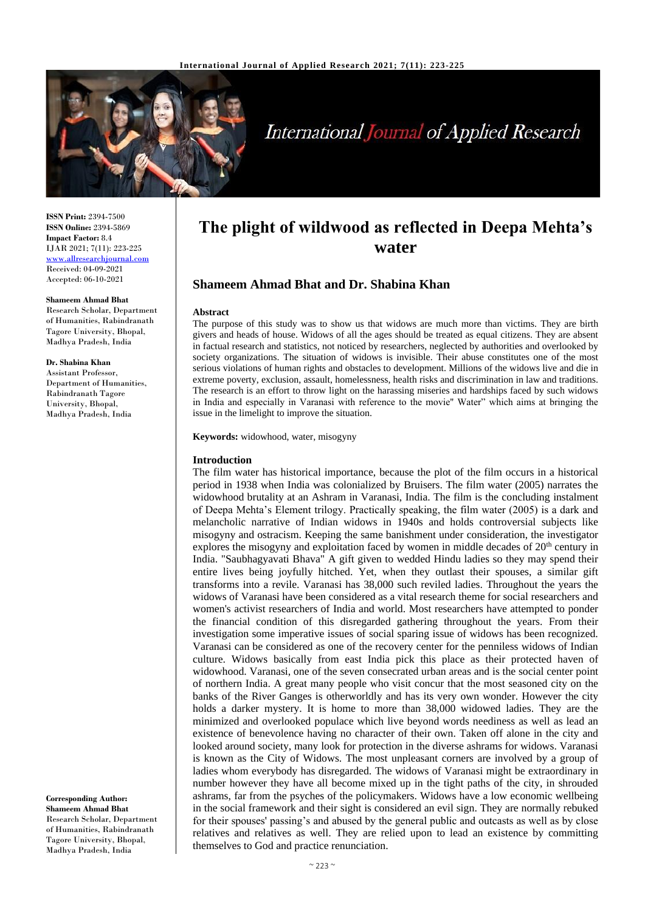

# **International Journal of Applied Research**

**ISSN Print:** 2394-7500 **ISSN Online:** 2394-5869 **Impact Factor:** 8.4 IJAR 2021; 7(11): 223-225 <www.allresearchjournal.com> Received: 04-09-2021 Accepted: 06-10-2021

#### **Shameem Ahmad Bhat**

Research Scholar, Department of Humanities, Rabindranath Tagore University, Bhopal, Madhya Pradesh, India

#### **Dr. Shabina Khan**

Assistant Professor, Department of Humanities, Rabindranath Tagore University, Bhopal, Madhya Pradesh, India

**Corresponding Author: Shameem Ahmad Bhat** Research Scholar, Department of Humanities, Rabindranath Tagore University, Bhopal, Madhya Pradesh, India

## **The plight of wildwood as reflected in Deepa Mehta's water**

## **Shameem Ahmad Bhat and Dr. Shabina Khan**

#### **Abstract**

The purpose of this study was to show us that widows are much more than victims. They are birth givers and heads of house. Widows of all the ages should be treated as equal citizens. They are absent in factual research and statistics, not noticed by researchers, neglected by authorities and overlooked by society organizations. The situation of widows is invisible. Their abuse constitutes one of the most serious violations of human rights and obstacles to development. Millions of the widows live and die in extreme poverty, exclusion, assault, homelessness, health risks and discrimination in law and traditions. The research is an effort to throw light on the harassing miseries and hardships faced by such widows in India and especially in Varanasi with reference to the movie'' Water" which aims at bringing the issue in the limelight to improve the situation.

**Keywords:** widowhood, water, misogyny

#### **Introduction**

The film water has historical importance, because the plot of the film occurs in a historical period in 1938 when India was colonialized by Bruisers. The film water (2005) narrates the widowhood brutality at an Ashram in Varanasi, India. The film is the concluding instalment of Deepa Mehta's Element trilogy. Practically speaking, the film water (2005) is a dark and melancholic narrative of Indian widows in 1940s and holds controversial subjects like misogyny and ostracism. Keeping the same banishment under consideration, the investigator explores the misogyny and exploitation faced by women in middle decades of  $20<sup>th</sup>$  century in India. "Saubhagyavati Bhava" A gift given to wedded Hindu ladies so they may spend their entire lives being joyfully hitched. Yet, when they outlast their spouses, a similar gift transforms into a revile. Varanasi has 38,000 such reviled ladies. Throughout the years the widows of Varanasi have been considered as a vital research theme for social researchers and women's activist researchers of India and world. Most researchers have attempted to ponder the financial condition of this disregarded gathering throughout the years. From their investigation some imperative issues of social sparing issue of widows has been recognized. Varanasi can be considered as one of the recovery center for the penniless widows of Indian culture. Widows basically from east India pick this place as their protected haven of widowhood. Varanasi, one of the seven consecrated urban areas and is the social center point of northern India. A great many people who visit concur that the most seasoned city on the banks of the River Ganges is otherworldly and has its very own wonder. However the city holds a darker mystery. It is home to more than 38,000 widowed ladies. They are the minimized and overlooked populace which live beyond words neediness as well as lead an existence of benevolence having no character of their own. Taken off alone in the city and looked around society, many look for protection in the diverse ashrams for widows. Varanasi is known as the City of Widows. The most unpleasant corners are involved by a group of ladies whom everybody has disregarded. The widows of Varanasi might be extraordinary in number however they have all become mixed up in the tight paths of the city, in shrouded ashrams, far from the psyches of the policymakers. Widows have a low economic wellbeing in the social framework and their sight is considered an evil sign. They are normally rebuked for their spouses' passing's and abused by the general public and outcasts as well as by close relatives and relatives as well. They are relied upon to lead an existence by committing themselves to God and practice renunciation.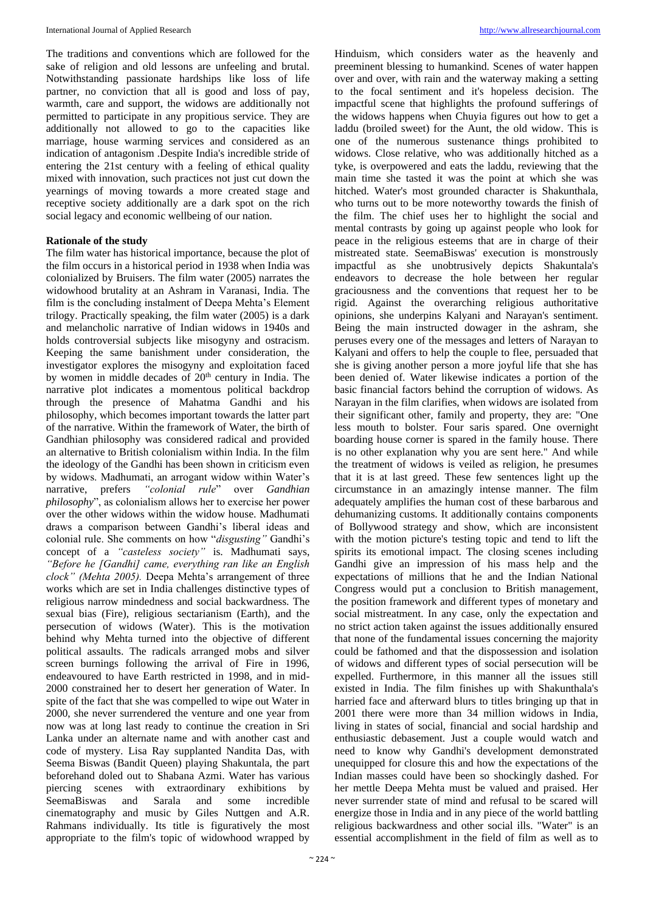The traditions and conventions which are followed for the sake of religion and old lessons are unfeeling and brutal. Notwithstanding passionate hardships like loss of life partner, no conviction that all is good and loss of pay, warmth, care and support, the widows are additionally not permitted to participate in any propitious service. They are additionally not allowed to go to the capacities like marriage, house warming services and considered as an indication of antagonism .Despite India's incredible stride of entering the 21st century with a feeling of ethical quality mixed with innovation, such practices not just cut down the yearnings of moving towards a more created stage and receptive society additionally are a dark spot on the rich social legacy and economic wellbeing of our nation.

### **Rationale of the study**

The film water has historical importance, because the plot of the film occurs in a historical period in 1938 when India was colonialized by Bruisers. The film water (2005) narrates the widowhood brutality at an Ashram in Varanasi, India. The film is the concluding instalment of Deepa Mehta's Element trilogy. Practically speaking, the film water (2005) is a dark and melancholic narrative of Indian widows in 1940s and holds controversial subjects like misogyny and ostracism. Keeping the same banishment under consideration, the investigator explores the misogyny and exploitation faced by women in middle decades of 20<sup>th</sup> century in India. The narrative plot indicates a momentous political backdrop through the presence of Mahatma Gandhi and his philosophy, which becomes important towards the latter part of the narrative. Within the framework of Water, the birth of Gandhian philosophy was considered radical and provided an alternative to British colonialism within India. In the film the ideology of the Gandhi has been shown in criticism even by widows. Madhumati, an arrogant widow within Water's narrative, prefers *"colonial rule*" over *Gandhian philosophy*", as colonialism allows her to exercise her power over the other widows within the widow house. Madhumati draws a comparison between Gandhi's liberal ideas and colonial rule. She comments on how "*disgusting"* Gandhi's concept of a *"casteless society"* is. Madhumati says, *"Before he [Gandhi] came, everything ran like an English clock" (Mehta 2005).* Deepa Mehta's arrangement of three works which are set in India challenges distinctive types of religious narrow mindedness and social backwardness. The sexual bias (Fire), religious sectarianism (Earth), and the persecution of widows (Water). This is the motivation behind why Mehta turned into the objective of different political assaults. The radicals arranged mobs and silver screen burnings following the arrival of Fire in 1996, endeavoured to have Earth restricted in 1998, and in mid-2000 constrained her to desert her generation of Water. In spite of the fact that she was compelled to wipe out Water in 2000, she never surrendered the venture and one year from now was at long last ready to continue the creation in Sri Lanka under an alternate name and with another cast and code of mystery. Lisa Ray supplanted Nandita Das, with Seema Biswas (Bandit Queen) playing Shakuntala, the part beforehand doled out to Shabana Azmi. Water has various piercing scenes with extraordinary exhibitions by SeemaBiswas and Sarala and some incredible cinematography and music by Giles Nuttgen and A.R. Rahmans individually. Its title is figuratively the most appropriate to the film's topic of widowhood wrapped by

Hinduism, which considers water as the heavenly and preeminent blessing to humankind. Scenes of water happen over and over, with rain and the waterway making a setting to the focal sentiment and it's hopeless decision. The impactful scene that highlights the profound sufferings of the widows happens when Chuyia figures out how to get a laddu (broiled sweet) for the Aunt, the old widow. This is one of the numerous sustenance things prohibited to widows. Close relative, who was additionally hitched as a tyke, is overpowered and eats the laddu, reviewing that the main time she tasted it was the point at which she was hitched. Water's most grounded character is Shakunthala, who turns out to be more noteworthy towards the finish of the film. The chief uses her to highlight the social and mental contrasts by going up against people who look for peace in the religious esteems that are in charge of their mistreated state. SeemaBiswas' execution is monstrously impactful as she unobtrusively depicts Shakuntala's endeavors to decrease the hole between her regular graciousness and the conventions that request her to be rigid. Against the overarching religious authoritative opinions, she underpins Kalyani and Narayan's sentiment. Being the main instructed dowager in the ashram, she peruses every one of the messages and letters of Narayan to Kalyani and offers to help the couple to flee, persuaded that she is giving another person a more joyful life that she has been denied of. Water likewise indicates a portion of the basic financial factors behind the corruption of widows. As Narayan in the film clarifies, when widows are isolated from their significant other, family and property, they are: "One less mouth to bolster. Four saris spared. One overnight boarding house corner is spared in the family house. There is no other explanation why you are sent here." And while the treatment of widows is veiled as religion, he presumes that it is at last greed. These few sentences light up the circumstance in an amazingly intense manner. The film adequately amplifies the human cost of these barbarous and dehumanizing customs. It additionally contains components of Bollywood strategy and show, which are inconsistent with the motion picture's testing topic and tend to lift the spirits its emotional impact. The closing scenes including Gandhi give an impression of his mass help and the expectations of millions that he and the Indian National Congress would put a conclusion to British management, the position framework and different types of monetary and social mistreatment. In any case, only the expectation and no strict action taken against the issues additionally ensured that none of the fundamental issues concerning the majority could be fathomed and that the dispossession and isolation of widows and different types of social persecution will be expelled. Furthermore, in this manner all the issues still existed in India. The film finishes up with Shakunthala's harried face and afterward blurs to titles bringing up that in 2001 there were more than 34 million widows in India, living in states of social, financial and social hardship and enthusiastic debasement. Just a couple would watch and need to know why Gandhi's development demonstrated unequipped for closure this and how the expectations of the Indian masses could have been so shockingly dashed. For her mettle Deepa Mehta must be valued and praised. Her never surrender state of mind and refusal to be scared will energize those in India and in any piece of the world battling religious backwardness and other social ills. "Water" is an essential accomplishment in the field of film as well as to